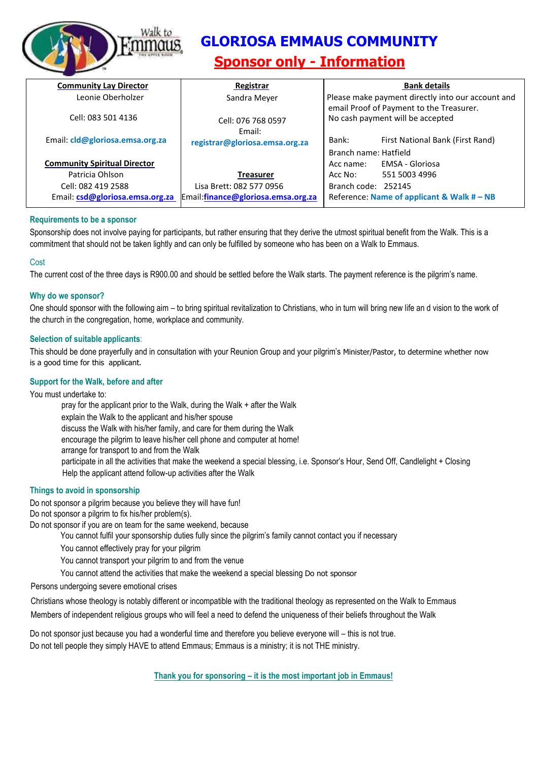

# **GLORIOSA EMMAUS COMMUNITY**

# **Sponsor only - Information**

| <b>Community Lay Director</b>       | Registrar                                | <b>Bank details</b>                                                          |
|-------------------------------------|------------------------------------------|------------------------------------------------------------------------------|
| Leonie Oberholzer                   | Sandra Meyer                             | Please make payment directly into our account and                            |
| Cell: 083 501 4136                  | Cell: 076 768 0597                       | email Proof of Payment to the Treasurer.<br>No cash payment will be accepted |
| Email: cld@gloriosa.emsa.org.za     | Fmail:<br>registrar@gloriosa.emsa.org.za | Bank:<br>First National Bank (First Rand)                                    |
|                                     |                                          | Branch name: Hatfield                                                        |
| <b>Community Spiritual Director</b> |                                          | EMSA - Gloriosa<br>Acc name:                                                 |
| Patricia Ohlson                     | Treasurer                                | 551 5003 4996<br>Acc No:                                                     |
| Cell: 082 419 2588                  | Lisa Brett: 082 577 0956                 | Branch code: 252145                                                          |
| Email: csd@gloriosa.emsa.org.za     | Email:finance@gloriosa.emsa.org.za       | Reference: Name of applicant & Walk $#$ – NB                                 |

#### **Requirements to be a sponsor**

Sponsorship does not involve paying for participants, but rather ensuring that they derive the utmost spiritual benefit from the Walk. This is a commitment that should not be taken lightly and can only be fulfilled by someone who has been on a Walk to Emmaus.

#### **Cost**

The current cost of the three days is R900.00 and should be settled before the Walk starts. The payment reference is the pilgrim's name.

#### **Why do we sponsor?**

One should sponsor with the following aim – to bring spiritual revitalization to Christians, who in turn will bring new life an d vision to the work of the church in the congregation, home, workplace and community.

#### **Selection of suitable applicants**:

This should be done prayerfully and in consultation with your Reunion Group and your pilgrim's Minister/Pastor, to determine whether now is a good time for this applicant.

#### **Support for the Walk, before and after**

You must undertake to: pray for the applicant prior to the Walk, during the Walk + after the Walk explain the Walk to the applicant and his/her spouse discuss the Walk with his/her family, and care for them during the Walk encourage the pilgrim to leave his/her cell phone and computer at home! arrange for transport to and from the Walk participate in all the activities that make the weekend a special blessing, i.e. Sponsor's Hour, Send Off, Candlelight + Closing Help the applicant attend follow-up activities after the Walk

#### **Things to avoid in sponsorship**

Do not sponsor a pilgrim because you believe they will have fun!

Do not sponsor a pilgrim to fix his/her problem(s).

Do not sponsor if you are on team for the same weekend, because

- You cannot fulfil your sponsorship duties fully since the pilgrim's family cannot contact you if necessary
- You cannot effectively pray for your pilgrim
- You cannot transport your pilgrim to and from the venue
- You cannot attend the activities that make the weekend a special blessing Do not sponsor

Persons undergoing severe emotional crises

Christians whose theology is notably different or incompatible with the traditional theology as represented on the Walk to Emmaus

Members of independent religious groups who will feel a need to defend the uniqueness of their beliefs throughout the Walk

Do not sponsor just because you had a wonderful time and therefore you believe everyone will – this is not true. Do not tell people they simply HAVE to attend Emmaus; Emmaus is a ministry; it is not THE ministry.

**Thank you for sponsoring – it is the most important job in Emmaus!**